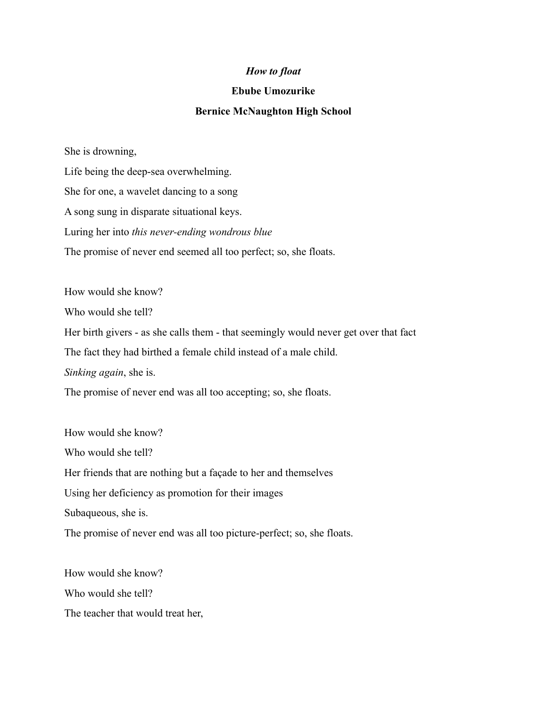## *How to float*

## **Ebube Umozurike**

## **Bernice McNaughton High School**

She is drowning,

Life being the deep-sea overwhelming. She for one, a wavelet dancing to a song A song sung in disparate situational keys. Luring her into *this never-ending wondrous blue* The promise of never end seemed all too perfect; so, she floats.

How would she know? Who would she tell? Her birth givers - as she calls them - that seemingly would never get over that fact The fact they had birthed a female child instead of a male child. *Sinking again*, she is. The promise of never end was all too accepting; so, she floats.

How would she know? Who would she tell? Her friends that are nothing but a façade to her and themselves Using her deficiency as promotion for their images Subaqueous, she is. The promise of never end was all too picture-perfect; so, she floats.

How would she know? Who would she tell? The teacher that would treat her,